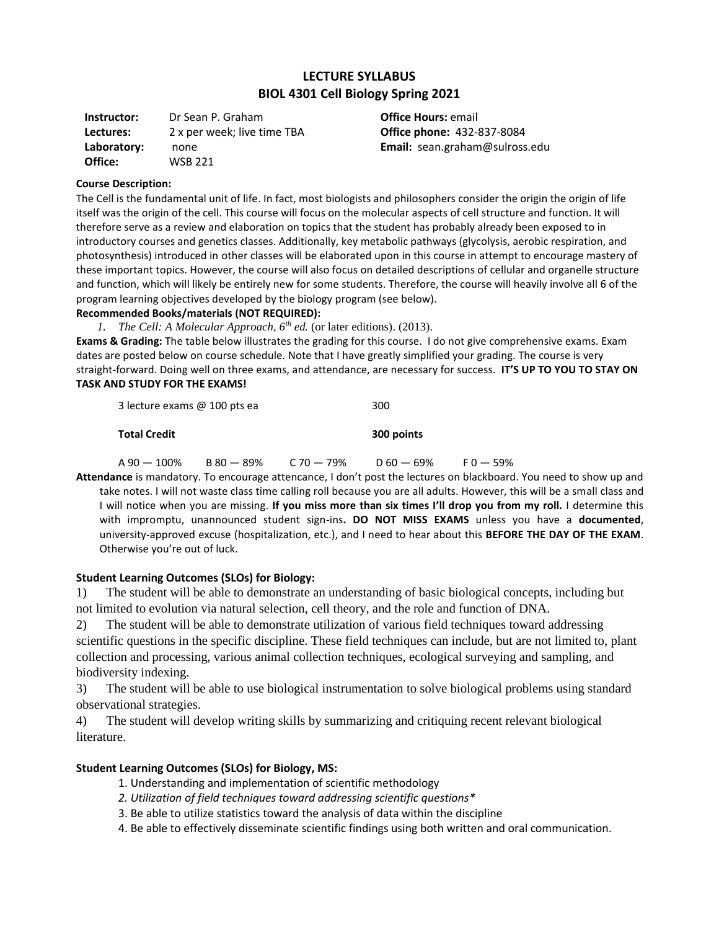# **LECTURE SYLLABUS BIOL 4301 Cell Biology Spring 2021**

**Instructor:** Dr Sean P. Graham **Lectures:** 2 x per week; live time TBA **Laboratory:** none **Office:** WSB 221

**Office Hours:** email **Office phone:** 432-837-8084 **Email:** sean.graham@sulross.edu

#### **Course Description:**

The Cell is the fundamental unit of life. In fact, most biologists and philosophers consider the origin the origin of life itself was the origin of the cell. This course will focus on the molecular aspects of cell structure and function. It will therefore serve as a review and elaboration on topics that the student has probably already been exposed to in introductory courses and genetics classes. Additionally, key metabolic pathways (glycolysis, aerobic respiration, and photosynthesis) introduced in other classes will be elaborated upon in this course in attempt to encourage mastery of these important topics. However, the course will also focus on detailed descriptions of cellular and organelle structure and function, which will likely be entirely new for some students. Therefore, the course will heavily involve all 6 of the program learning objectives developed by the biology program (see below).

#### **Recommended Books/materials (NOT REQUIRED):**

*1. The Cell: A Molecular Approach, 6th ed.* (or later editions). (2013). **Exams & Grading:** The table below illustrates the grading for this course. I do not give comprehensive exams. Exam dates are posted below on course schedule. Note that I have greatly simplified your grading. The course is very straight-forward. Doing well on three exams, and attendance, are necessary for success. **IT'S UP TO YOU TO STAY ON TASK AND STUDY FOR THE EXAMS!**

| <b>Total Credit</b>          | 300 points |
|------------------------------|------------|
| 3 lecture exams @ 100 pts ea | 300        |

|  | $A90 - 100\%$ $B80 - 89\%$ $C70 - 79\%$ $D60 - 69\%$ | $F0 - 59\%$ |
|--|------------------------------------------------------|-------------|
|  |                                                      |             |

**Attendance** is mandatory. To encourage attencance, I don't post the lectures on blackboard. You need to show up and take notes. I will not waste class time calling roll because you are all adults. However, this will be a small class and I will notice when you are missing. **If you miss more than six times I'll drop you from my roll.** I determine this with impromptu, unannounced student sign-ins**. DO NOT MISS EXAMS** unless you have a **documented**, university-approved excuse (hospitalization, etc.), and I need to hear about this **BEFORE THE DAY OF THE EXAM**. Otherwise you're out of luck.

#### **Student Learning Outcomes (SLOs) for Biology:**

1) The student will be able to demonstrate an understanding of basic biological concepts, including but not limited to evolution via natural selection, cell theory, and the role and function of DNA.

2) The student will be able to demonstrate utilization of various field techniques toward addressing scientific questions in the specific discipline. These field techniques can include, but are not limited to, plant collection and processing, various animal collection techniques, ecological surveying and sampling, and biodiversity indexing.

3) The student will be able to use biological instrumentation to solve biological problems using standard observational strategies.

4) The student will develop writing skills by summarizing and critiquing recent relevant biological literature.

## **Student Learning Outcomes (SLOs) for Biology, MS:**

- 1. Understanding and implementation of scientific methodology
- *2. Utilization of field techniques toward addressing scientific questions\**
- 3. Be able to utilize statistics toward the analysis of data within the discipline
- 4. Be able to effectively disseminate scientific findings using both written and oral communication.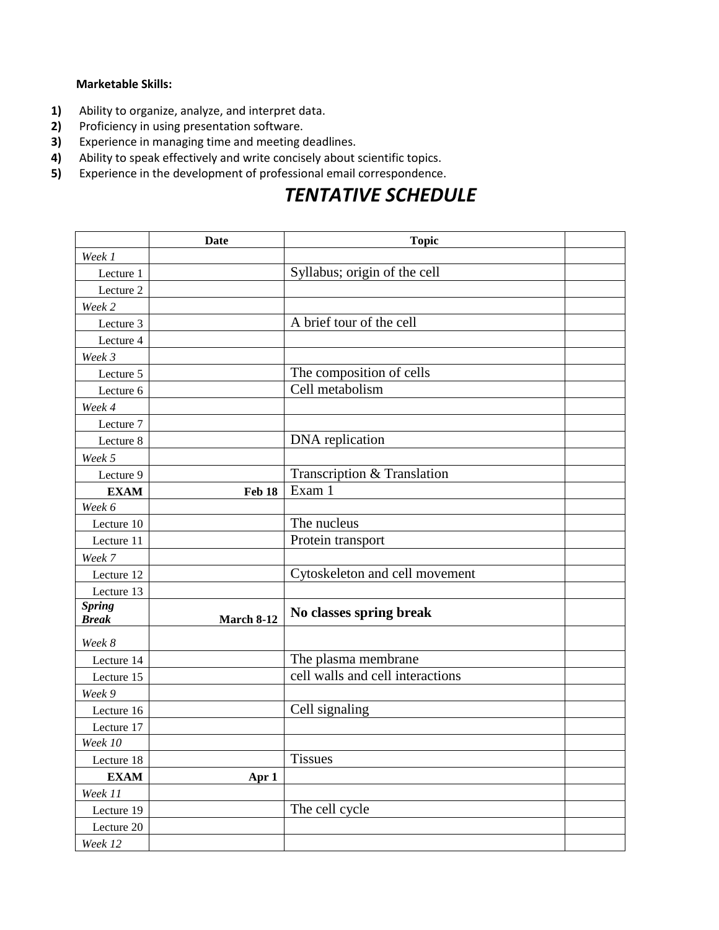## **Marketable Skills:**

- **1)** Ability to organize, analyze, and interpret data.<br>**2)** Proficiency in using presentation software.
- **2)** Proficiency in using presentation software.
- **3)** Experience in managing time and meeting deadlines.
- **4)** Ability to speak effectively and write concisely about scientific topics.
- **5)** Experience in the development of professional email correspondence.

# *TENTATIVE SCHEDULE*

|                               | <b>Date</b>   | <b>Topic</b>                     |  |
|-------------------------------|---------------|----------------------------------|--|
| Week 1                        |               |                                  |  |
| Lecture 1                     |               | Syllabus; origin of the cell     |  |
| Lecture 2                     |               |                                  |  |
| Week 2                        |               |                                  |  |
| Lecture 3                     |               | A brief tour of the cell         |  |
| Lecture 4                     |               |                                  |  |
| Week 3                        |               |                                  |  |
| Lecture 5                     |               | The composition of cells         |  |
| Lecture 6                     |               | Cell metabolism                  |  |
| Week 4                        |               |                                  |  |
| Lecture 7                     |               |                                  |  |
| Lecture 8                     |               | DNA replication                  |  |
| Week 5                        |               |                                  |  |
| Lecture 9                     |               | Transcription & Translation      |  |
| <b>EXAM</b>                   | <b>Feb 18</b> | Exam 1                           |  |
| Week 6                        |               |                                  |  |
| Lecture 10                    |               | The nucleus                      |  |
| Lecture 11                    |               | Protein transport                |  |
| Week 7                        |               |                                  |  |
| Lecture 12                    |               | Cytoskeleton and cell movement   |  |
| Lecture 13                    |               |                                  |  |
| <b>Spring</b><br><b>Break</b> | March 8-12    | No classes spring break          |  |
| Week 8                        |               |                                  |  |
| Lecture 14                    |               | The plasma membrane              |  |
| Lecture 15                    |               | cell walls and cell interactions |  |
| Week 9                        |               |                                  |  |
| Lecture 16                    |               | Cell signaling                   |  |
| Lecture 17                    |               |                                  |  |
| Week 10                       |               |                                  |  |
| Lecture 18                    |               | <b>Tissues</b>                   |  |
| <b>EXAM</b>                   | Apr 1         |                                  |  |
| Week 11                       |               |                                  |  |
| Lecture 19                    |               | The cell cycle                   |  |
| Lecture 20                    |               |                                  |  |
| Week 12                       |               |                                  |  |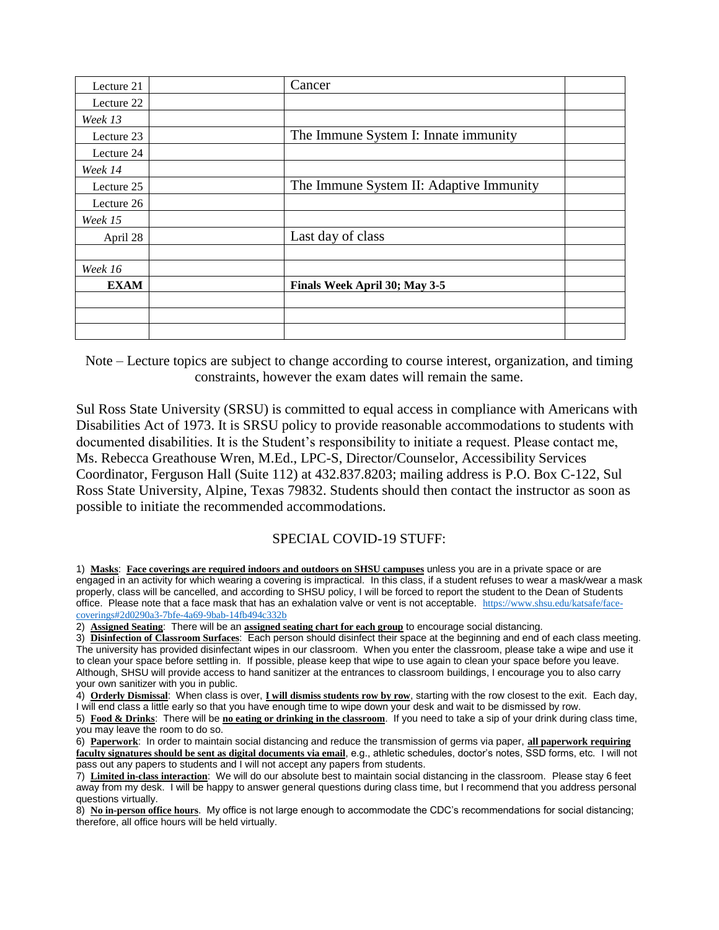| Lecture 21  | Cancer                                  |                                      |  |
|-------------|-----------------------------------------|--------------------------------------|--|
| Lecture 22  |                                         |                                      |  |
| Week 13     |                                         |                                      |  |
| Lecture 23  |                                         | The Immune System I: Innate immunity |  |
| Lecture 24  |                                         |                                      |  |
| Week 14     |                                         |                                      |  |
| Lecture 25  | The Immune System II: Adaptive Immunity |                                      |  |
| Lecture 26  |                                         |                                      |  |
| Week 15     |                                         |                                      |  |
| April 28    | Last day of class                       |                                      |  |
|             |                                         |                                      |  |
| Week 16     |                                         |                                      |  |
| <b>EXAM</b> | Finals Week April 30; May 3-5           |                                      |  |
|             |                                         |                                      |  |
|             |                                         |                                      |  |
|             |                                         |                                      |  |

Note – Lecture topics are subject to change according to course interest, organization, and timing constraints, however the exam dates will remain the same.

Sul Ross State University (SRSU) is committed to equal access in compliance with Americans with Disabilities Act of 1973. It is SRSU policy to provide reasonable accommodations to students with documented disabilities. It is the Student's responsibility to initiate a request. Please contact me, Ms. Rebecca Greathouse Wren, M.Ed., LPC-S, Director/Counselor, Accessibility Services Coordinator, Ferguson Hall (Suite 112) at 432.837.8203; mailing address is P.O. Box C-122, Sul Ross State University, Alpine, Texas 79832. Students should then contact the instructor as soon as possible to initiate the recommended accommodations.

# SPECIAL COVID-19 STUFF:

1) **Masks**: **Face coverings are required indoors and outdoors on SHSU campuses** unless you are in a private space or are engaged in an activity for which wearing a covering is impractical. In this class, if a student refuses to wear a mask/wear a mask properly, class will be cancelled, and according to SHSU policy, I will be forced to report the student to the Dean of Students office. Please note that a face mask that has an exhalation valve or vent is not acceptable. [https://www.shsu.edu/katsafe/face](https://www.shsu.edu/katsafe/face-coverings%232d0290a3-7bfe-4a69-9bab-14fb494c332b)[coverings#2d0290a3-7bfe-4a69-9bab-14fb494c332b](https://www.shsu.edu/katsafe/face-coverings%232d0290a3-7bfe-4a69-9bab-14fb494c332b)

2) **Assigned Seating**: There will be an **assigned seating chart for each group** to encourage social distancing.

3) **Disinfection of Classroom Surfaces**: Each person should disinfect their space at the beginning and end of each class meeting. The university has provided disinfectant wipes in our classroom. When you enter the classroom, please take a wipe and use it to clean your space before settling in. If possible, please keep that wipe to use again to clean your space before you leave. Although, SHSU will provide access to hand sanitizer at the entrances to classroom buildings, I encourage you to also carry your own sanitizer with you in public.

4) **Orderly Dismissal**: When class is over, **I will dismiss students row by row**, starting with the row closest to the exit. Each day, I will end class a little early so that you have enough time to wipe down your desk and wait to be dismissed by row.

5) **Food & Drinks**: There will be **no eating or drinking in the classroom**. If you need to take a sip of your drink during class time, you may leave the room to do so.

6) **Paperwork**: In order to maintain social distancing and reduce the transmission of germs via paper, **all paperwork requiring faculty signatures should be sent as digital documents via email**, e.g., athletic schedules, doctor's notes, SSD forms, etc. I will not pass out any papers to students and I will not accept any papers from students.

7) **Limited in-class interaction**: We will do our absolute best to maintain social distancing in the classroom. Please stay 6 feet away from my desk. I will be happy to answer general questions during class time, but I recommend that you address personal questions virtually.

8) **No in-person office hours**. My office is not large enough to accommodate the CDC's recommendations for social distancing; therefore, all office hours will be held virtually.